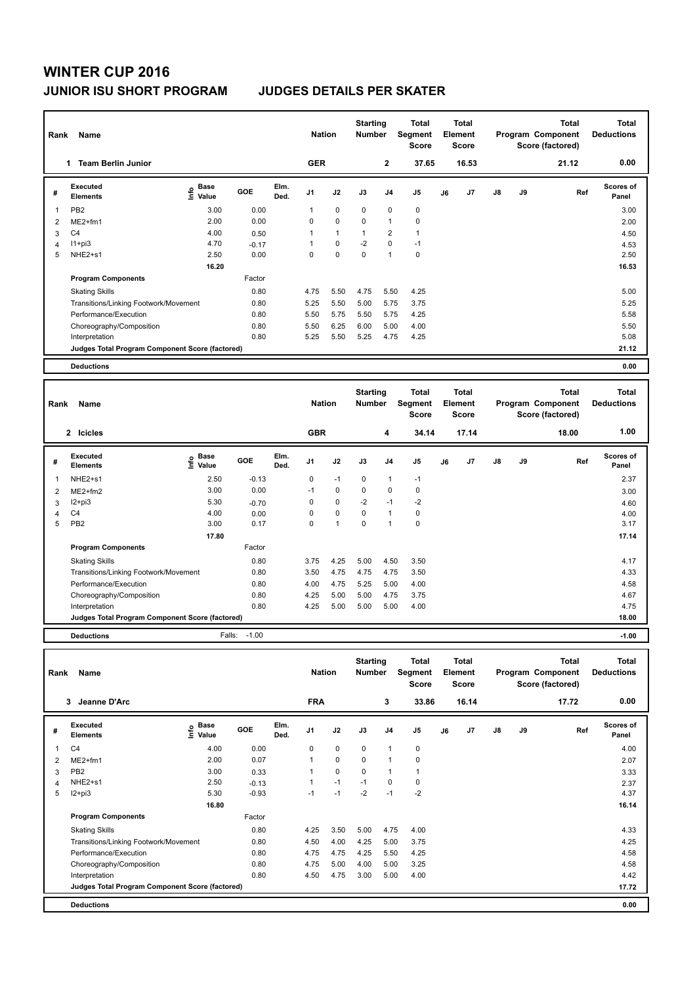## **WINTER CUP 2016 JUNIOR ISU SHORT PROGRAM JUDGES DETAILS PER SKATER**

| Name<br>Rank   |                                                 |                                      |         |              | <b>Nation</b>  |              | <b>Starting</b><br><b>Number</b> |                | <b>Total</b><br>Segment<br><b>Score</b> | <b>Total</b><br>Element<br><b>Score</b> |       | Program Component |    | <b>Total</b><br>Score (factored) | Total<br><b>Deductions</b> |
|----------------|-------------------------------------------------|--------------------------------------|---------|--------------|----------------|--------------|----------------------------------|----------------|-----------------------------------------|-----------------------------------------|-------|-------------------|----|----------------------------------|----------------------------|
|                | <b>Team Berlin Junior</b><br>1                  |                                      |         |              | <b>GER</b>     |              |                                  | $\mathbf{2}$   | 37.65                                   |                                         | 16.53 |                   |    | 21.12                            | 0.00                       |
| #              | Executed<br><b>Elements</b>                     | Base<br>e <sup>Base</sup><br>⊆ Value | GOE     | Elm.<br>Ded. | J <sub>1</sub> | J2           | J3                               | J <sub>4</sub> | J <sub>5</sub>                          | J6                                      | J7    | $\mathsf{J}8$     | J9 | Ref                              | <b>Scores of</b><br>Panel  |
| 1              | PB <sub>2</sub>                                 | 3.00                                 | 0.00    |              |                | 0            | $\Omega$                         | 0              | 0                                       |                                         |       |                   |    |                                  | 3.00                       |
| $\overline{2}$ | $ME2+fm1$                                       | 2.00                                 | 0.00    |              | 0              | $\mathbf 0$  | $\mathbf 0$                      | 1              | 0                                       |                                         |       |                   |    |                                  | 2.00                       |
| 3              | C <sub>4</sub>                                  | 4.00                                 | 0.50    |              | 1              | $\mathbf{1}$ | 1                                | $\overline{2}$ | 1                                       |                                         |       |                   |    |                                  | 4.50                       |
| 4              | $11 + pi3$                                      | 4.70                                 | $-0.17$ |              | 1              | 0            | $-2$                             | 0              | $-1$                                    |                                         |       |                   |    |                                  | 4.53                       |
| 5              | NHE2+s1                                         | 2.50                                 | 0.00    |              | 0              | $\mathbf 0$  | 0                                | $\mathbf{1}$   | 0                                       |                                         |       |                   |    |                                  | 2.50                       |
|                |                                                 | 16.20                                |         |              |                |              |                                  |                |                                         |                                         |       |                   |    |                                  | 16.53                      |
|                | <b>Program Components</b>                       |                                      | Factor  |              |                |              |                                  |                |                                         |                                         |       |                   |    |                                  |                            |
|                | <b>Skating Skills</b>                           |                                      | 0.80    |              | 4.75           | 5.50         | 4.75                             | 5.50           | 4.25                                    |                                         |       |                   |    |                                  | 5.00                       |
|                | Transitions/Linking Footwork/Movement           |                                      | 0.80    |              | 5.25           | 5.50         | 5.00                             | 5.75           | 3.75                                    |                                         |       |                   |    |                                  | 5.25                       |
|                | Performance/Execution                           |                                      | 0.80    |              | 5.50           | 5.75         | 5.50                             | 5.75           | 4.25                                    |                                         |       |                   |    |                                  | 5.58                       |
|                | Choreography/Composition                        |                                      | 0.80    |              | 5.50           | 6.25         | 6.00                             | 5.00           | 4.00                                    |                                         |       |                   |    |                                  | 5.50                       |
|                | Interpretation                                  |                                      | 0.80    |              | 5.25           | 5.50         | 5.25                             | 4.75           | 4.25                                    |                                         |       |                   |    |                                  | 5.08                       |
|                | Judges Total Program Component Score (factored) |                                      |         |              |                |              |                                  |                |                                         |                                         |       |                   |    |                                  | 21.12                      |
|                | <b>Deductions</b>                               |                                      |         |              |                |              |                                  |                |                                         |                                         |       |                   |    |                                  | 0.00                       |

| Rank | Name                                            |                                      |            |              | <b>Nation</b>  |             | <b>Starting</b><br><b>Number</b> |                | <b>Total</b><br>Segment<br><b>Score</b> |    | <b>Total</b><br>Element<br><b>Score</b> |    |    | <b>Total</b><br>Program Component<br>Score (factored) | <b>Total</b><br><b>Deductions</b> |
|------|-------------------------------------------------|--------------------------------------|------------|--------------|----------------|-------------|----------------------------------|----------------|-----------------------------------------|----|-----------------------------------------|----|----|-------------------------------------------------------|-----------------------------------|
|      | 2 Icicles                                       |                                      |            |              | <b>GBR</b>     |             |                                  | 4              | 34.14                                   |    | 17.14                                   |    |    | 18.00                                                 | 1.00                              |
| #    | Executed<br><b>Elements</b>                     | Base<br>e <sup>Base</sup><br>⊆ Value | <b>GOE</b> | Elm.<br>Ded. | J <sub>1</sub> | J2          | J3                               | J <sub>4</sub> | J <sub>5</sub>                          | J6 | J7                                      | J8 | J9 | Ref                                                   | <b>Scores of</b><br>Panel         |
|      | NHE2+s1                                         | 2.50                                 | $-0.13$    |              | 0              | $-1$        | $\Omega$                         | 1              | $-1$                                    |    |                                         |    |    |                                                       | 2.37                              |
| 2    | $ME2+fm2$                                       | 3.00                                 | 0.00       |              | $-1$           | $\mathbf 0$ | $\Omega$                         | $\mathbf 0$    | 0                                       |    |                                         |    |    |                                                       | 3.00                              |
| 3    | $12 + pi3$                                      | 5.30                                 | $-0.70$    |              | 0              | $\mathbf 0$ | $-2$                             | $-1$           | $-2$                                    |    |                                         |    |    |                                                       | 4.60                              |
| Δ    | C <sub>4</sub>                                  | 4.00                                 | 0.00       |              | 0              | $\mathbf 0$ | $\Omega$                         | $\mathbf{1}$   | 0                                       |    |                                         |    |    |                                                       | 4.00                              |
| 5    | PB <sub>2</sub>                                 | 3.00                                 | 0.17       |              | 0              | 1           | 0                                | 1              | $\pmb{0}$                               |    |                                         |    |    |                                                       | 3.17                              |
|      |                                                 | 17.80                                |            |              |                |             |                                  |                |                                         |    |                                         |    |    |                                                       | 17.14                             |
|      | <b>Program Components</b>                       |                                      | Factor     |              |                |             |                                  |                |                                         |    |                                         |    |    |                                                       |                                   |
|      | <b>Skating Skills</b>                           |                                      | 0.80       |              | 3.75           | 4.25        | 5.00                             | 4.50           | 3.50                                    |    |                                         |    |    |                                                       | 4.17                              |
|      | Transitions/Linking Footwork/Movement           |                                      | 0.80       |              | 3.50           | 4.75        | 4.75                             | 4.75           | 3.50                                    |    |                                         |    |    |                                                       | 4.33                              |
|      | Performance/Execution                           |                                      | 0.80       |              | 4.00           | 4.75        | 5.25                             | 5.00           | 4.00                                    |    |                                         |    |    |                                                       | 4.58                              |
|      | Choreography/Composition                        |                                      | 0.80       |              | 4.25           | 5.00        | 5.00                             | 4.75           | 3.75                                    |    |                                         |    |    |                                                       | 4.67                              |
|      | Interpretation                                  |                                      | 0.80       |              | 4.25           | 5.00        | 5.00                             | 5.00           | 4.00                                    |    |                                         |    |    |                                                       | 4.75                              |
|      | Judges Total Program Component Score (factored) |                                      |            |              |                |             |                                  |                |                                         |    |                                         |    |    |                                                       | 18.00                             |
|      | _ _ _                                           | $ -$                                 |            |              |                |             |                                  |                |                                         |    |                                         |    |    |                                                       |                                   |

**Deductions** Falls: -1.00 **-1.00**

| Rank | Name                                            |                              |         |              | <b>Nation</b>  |             | <b>Starting</b><br><b>Number</b> |                | <b>Total</b><br>Segment<br><b>Score</b> |    | Total<br>Element<br><b>Score</b> |               |    | <b>Total</b><br>Program Component<br>Score (factored) | <b>Total</b><br><b>Deductions</b> |
|------|-------------------------------------------------|------------------------------|---------|--------------|----------------|-------------|----------------------------------|----------------|-----------------------------------------|----|----------------------------------|---------------|----|-------------------------------------------------------|-----------------------------------|
|      | Jeanne D'Arc<br>3                               |                              |         |              | <b>FRA</b>     |             |                                  | 3              | 33.86                                   |    | 16.14                            |               |    | 17.72                                                 | 0.00                              |
| #    | <b>Executed</b><br><b>Elements</b>              | <b>Base</b><br>lnfo<br>Value | GOE     | Elm.<br>Ded. | J <sub>1</sub> | J2          | J3                               | J <sub>4</sub> | J <sub>5</sub>                          | J6 | J <sub>7</sub>                   | $\mathsf{J}8$ | J9 | Ref                                                   | <b>Scores of</b><br>Panel         |
| 1    | C <sub>4</sub>                                  | 4.00                         | 0.00    |              | 0              | 0           | 0                                | $\mathbf{1}$   | 0                                       |    |                                  |               |    |                                                       | 4.00                              |
| 2    | $ME2+fm1$                                       | 2.00                         | 0.07    |              | 1              | $\Omega$    | $\Omega$                         | $\mathbf{1}$   | $\mathbf 0$                             |    |                                  |               |    |                                                       | 2.07                              |
| 3    | PB <sub>2</sub>                                 | 3.00                         | 0.33    |              |                | $\mathbf 0$ | $\Omega$                         | 1              | $\mathbf{1}$                            |    |                                  |               |    |                                                       | 3.33                              |
| 4    | NHE2+s1                                         | 2.50                         | $-0.13$ |              |                | $-1$        | $-1$                             | 0              | 0                                       |    |                                  |               |    |                                                       | 2.37                              |
| 5    | I2+pi3                                          | 5.30                         | $-0.93$ |              | $-1$           | $-1$        | $-2$                             | $-1$           | $-2$                                    |    |                                  |               |    |                                                       | 4.37                              |
|      |                                                 | 16.80                        |         |              |                |             |                                  |                |                                         |    |                                  |               |    |                                                       | 16.14                             |
|      | <b>Program Components</b>                       |                              | Factor  |              |                |             |                                  |                |                                         |    |                                  |               |    |                                                       |                                   |
|      | <b>Skating Skills</b>                           |                              | 0.80    |              | 4.25           | 3.50        | 5.00                             | 4.75           | 4.00                                    |    |                                  |               |    |                                                       | 4.33                              |
|      | Transitions/Linking Footwork/Movement           |                              | 0.80    |              | 4.50           | 4.00        | 4.25                             | 5.00           | 3.75                                    |    |                                  |               |    |                                                       | 4.25                              |
|      | Performance/Execution                           |                              | 0.80    |              | 4.75           | 4.75        | 4.25                             | 5.50           | 4.25                                    |    |                                  |               |    |                                                       | 4.58                              |
|      | Choreography/Composition                        |                              | 0.80    |              | 4.75           | 5.00        | 4.00                             | 5.00           | 3.25                                    |    |                                  |               |    |                                                       | 4.58                              |
|      | Interpretation                                  |                              | 0.80    |              | 4.50           | 4.75        | 3.00                             | 5.00           | 4.00                                    |    |                                  |               |    |                                                       | 4.42                              |
|      | Judges Total Program Component Score (factored) |                              |         |              |                |             |                                  |                |                                         |    |                                  |               |    |                                                       | 17.72                             |
|      | <b>Deductions</b>                               |                              |         |              |                |             |                                  |                |                                         |    |                                  |               |    |                                                       | 0.00                              |